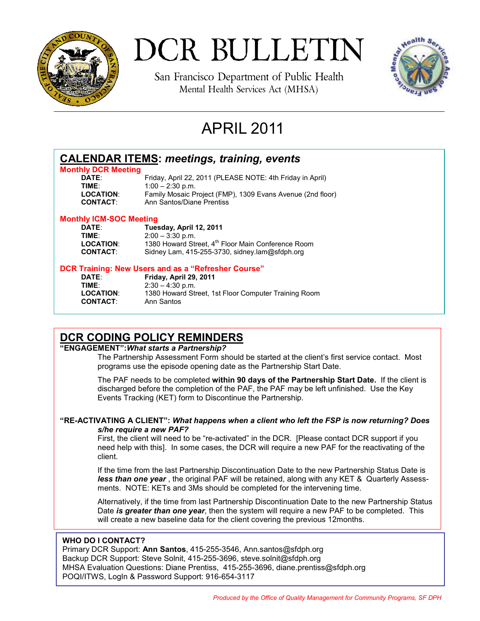

DCR BULLETIN

San Francisco Department of Public Health Mental Health Services Act (MHSA)



# APRIL 2011

| <b>CALENDAR ITEMS: meetings, training, events</b> |                                                                |
|---------------------------------------------------|----------------------------------------------------------------|
| <b>Monthly DCR Meeting</b>                        |                                                                |
| <b>DATE:</b>                                      | Friday, April 22, 2011 (PLEASE NOTE: 4th Friday in April)      |
| TIME:                                             | $1:00 - 2:30$ p.m.                                             |
| <b>LOCATION:</b>                                  | Family Mosaic Project (FMP), 1309 Evans Avenue (2nd floor)     |
| <b>CONTACT:</b>                                   | Ann Santos/Diane Prentiss                                      |
| <b>Monthly ICM-SOC Meeting</b>                    |                                                                |
| DATE:                                             | Tuesday, April 12, 2011                                        |
| TIME:                                             | $2:00 - 3:30$ p.m.                                             |
| <b>LOCATION:</b>                                  | 1380 Howard Street, 4 <sup>th</sup> Floor Main Conference Room |
| <b>CONTACT:</b>                                   | Sidney Lam, 415-255-3730, sidney.lam@sfdph.org                 |
|                                                   | DCD Training: Now Hoore and as a "Defreehor Course"            |

#### **DCR Training: New Users and as a "Refresher Course"**

**DATE**: **Friday, April 29, 2011 TIME:** 2:30 – 4:30 p.m.<br>**LOCATION:** 1380 Howard Str 1380 Howard Street, 1st Floor Computer Training Room **CONTACT**: Ann Santos

## **DCR CODING POLICY REMINDERS**

#### **"ENGAGEMENT":***What starts a Partnership?*

The Partnership Assessment Form should be started at the client's first service contact. Most programs use the episode opening date as the Partnership Start Date.

 The PAF needs to be completed **within 90 days of the Partnership Start Date.** If the client is discharged before the completion of the PAF, the PAF may be left unfinished. Use the Key Events Tracking (KET) form to Discontinue the Partnership.

## **"RE-ACTIVATING A CLIENT":** *What happens when a client who left the FSP is now returning? Does s/he require a new PAF?*

First, the client will need to be "re-activated" in the DCR. [Please contact DCR support if you need help with this]. In some cases, the DCR will require a new PAF for the reactivating of the client.

 If the time from the last Partnership Discontinuation Date to the new Partnership Status Date is *less than one year* , the original PAF will be retained, along with any KET & Quarterly Assessments. NOTE: KETs and 3Ms should be completed for the intervening time.

 Alternatively, if the time from last Partnership Discontinuation Date to the new Partnership Status Date *is greater than one year*, then the system will require a new PAF to be completed. This will create a new baseline data for the client covering the previous 12months.

## **WHO DO I CONTACT?**

Primary DCR Support: **Ann Santos**, 415-255-3546, Ann.santos@sfdph.org Backup DCR Support: Steve Solnit, 415-255-3696, steve.solnit@sfdph.org MHSA Evaluation Questions: Diane Prentiss, 415-255-3696, diane.prentiss@sfdph.org POQI/ITWS, LogIn & Password Support: 916-654-3117